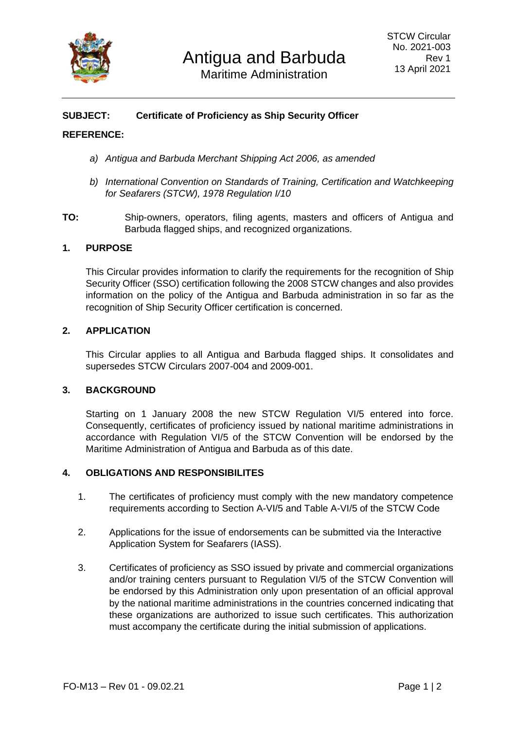

## **SUBJECT: Certificate of Proficiency as Ship Security Officer**

### **REFERENCE:**

- *a) Antigua and Barbuda Merchant Shipping Act 2006, as amended*
- *b) International Convention on Standards of Training, Certification and Watchkeeping for Seafarers (STCW), 1978 Regulation I/10*
- **TO:** Ship-owners, operators, filing agents, masters and officers of Antigua and Barbuda flagged ships, and recognized organizations.

### **1. PURPOSE**

This Circular provides information to clarify the requirements for the recognition of Ship Security Officer (SSO) certification following the 2008 STCW changes and also provides information on the policy of the Antigua and Barbuda administration in so far as the recognition of Ship Security Officer certification is concerned.

### **2. APPLICATION**

This Circular applies to all Antigua and Barbuda flagged ships. It consolidates and supersedes STCW Circulars 2007-004 and 2009-001.

#### **3. BACKGROUND**

Starting on 1 January 2008 the new STCW Regulation VI/5 entered into force. Consequently, certificates of proficiency issued by national maritime administrations in accordance with Regulation VI/5 of the STCW Convention will be endorsed by the Maritime Administration of Antigua and Barbuda as of this date.

### **4. OBLIGATIONS AND RESPONSIBILITES**

- 1. The certificates of proficiency must comply with the new mandatory competence requirements according to Section A-VI/5 and Table A-VI/5 of the STCW Code
- 2. Applications for the issue of endorsements can be submitted via the Interactive Application System for Seafarers (IASS).
- 3. Certificates of proficiency as SSO issued by private and commercial organizations and/or training centers pursuant to Regulation VI/5 of the STCW Convention will be endorsed by this Administration only upon presentation of an official approval by the national maritime administrations in the countries concerned indicating that these organizations are authorized to issue such certificates. This authorization must accompany the certificate during the initial submission of applications.